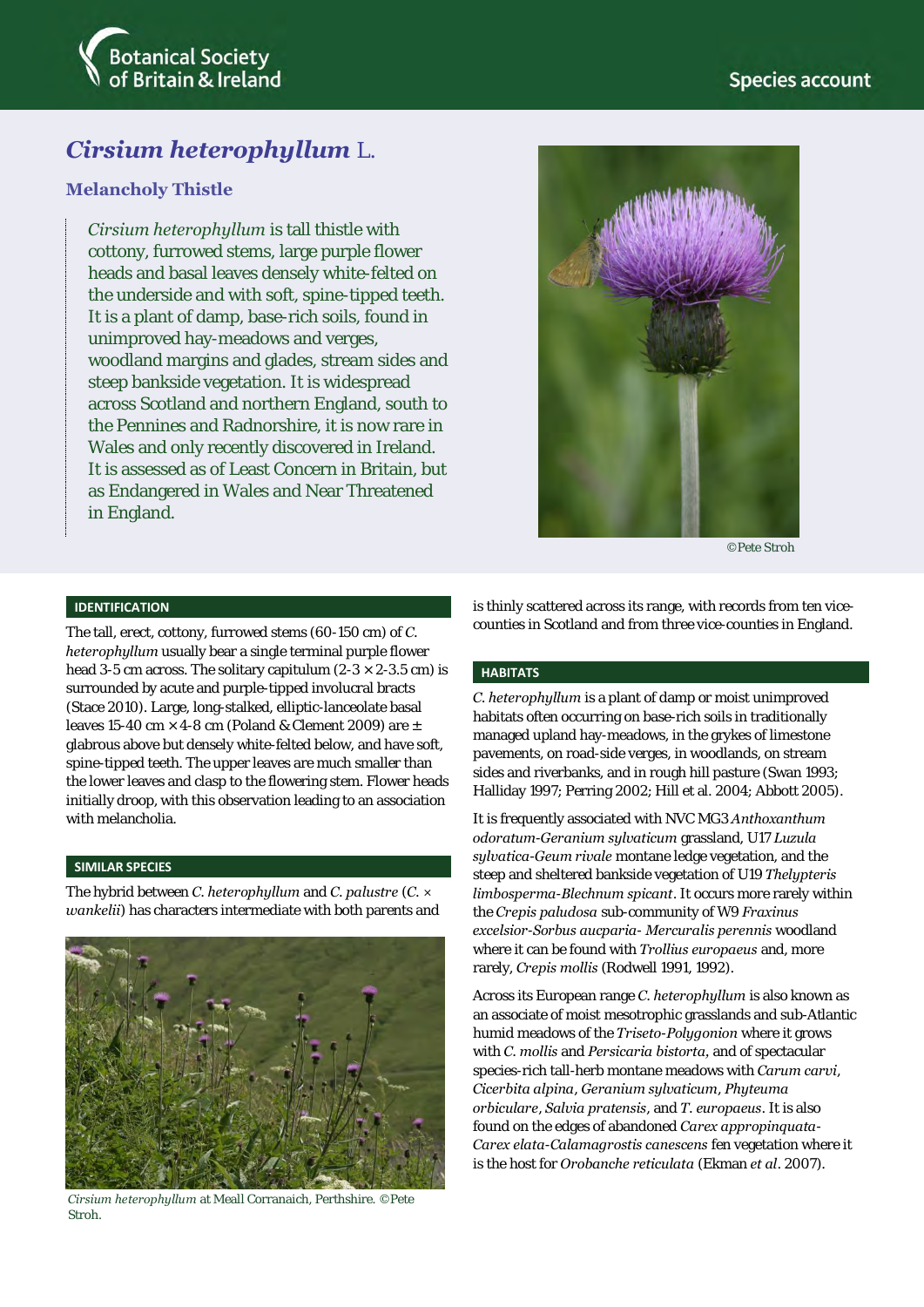



# *Cirsium heterophyllum* L.

# **Melancholy Thistle**

*Cirsium heterophyllum* is tall thistle with cottony, furrowed stems, large purple flower heads and basal leaves densely white-felted on the underside and with soft, spine-tipped teeth. It is a plant of damp, base-rich soils, found in unimproved hay-meadows and verges, woodland margins and glades, stream sides and steep bankside vegetation. It is widespread across Scotland and northern England, south to the Pennines and Radnorshire, it is now rare in Wales and only recently discovered in Ireland. It is assessed as of Least Concern in Britain, but as Endangered in Wales and Near Threatened in England.



©Pete Stroh

#### **IDENTIFICATION**

The tall, erect, cottony, furrowed stems (60-150 cm) of *C. heterophyllum* usually bear a single terminal purple flower head 3-5 cm across. The solitary capitulum (2-3  $\times$  2-3.5 cm) is surrounded by acute and purple-tipped involucral bracts (Stace 2010). Large, long-stalked, elliptic-lanceolate basal leaves 15-40 cm  $\times$  4-8 cm (Poland & Clement 2009) are  $\pm$ glabrous above but densely white-felted below, and have soft, spine-tipped teeth. The upper leaves are much smaller than the lower leaves and clasp to the flowering stem. Flower heads initially droop, with this observation leading to an association with melancholia.

## **SIMILAR SPECIES**

The hybrid between *C. heterophyllum* and *C. palustre* (*C. × wankelii*) has characters intermediate with both parents and



*Cirsium heterophyllum* at Meall Corranaich, Perthshire. ©Pete Stroh.

is thinly scattered across its range, with records from ten vicecounties in Scotland and from three vice-counties in England.

#### **HABITATS**

*C. heterophyllum* is a plant of damp or moist unimproved habitats often occurring on base-rich soils in traditionally managed upland hay-meadows, in the grykes of limestone pavements, on road-side verges, in woodlands, on stream sides and riverbanks, and in rough hill pasture (Swan 1993; Halliday 1997; Perring 2002; Hill et al. 2004; Abbott 2005).

It is frequently associated with NVC MG3 *Anthoxanthum odoratum*-*Geranium sylvaticum* grassland, U17 *Luzula sylvatica*-*Geum rivale* montane ledge vegetation, and the steep and sheltered bankside vegetation of U19 *Thelypteris limbosperma*-*Blechnum spicant*. It occurs more rarely within the *Crepis paludosa* sub-community of W9 *Fraxinus excelsior*-*Sorbus aucparia*- *Mercuralis perennis* woodland where it can be found with *Trollius europaeus* and, more rarely, *Crepis mollis* (Rodwell 1991, 1992).

Across its European range *C. heterophyllum* is also known as an associate of moist mesotrophic grasslands and sub-Atlantic humid meadows of the *Triseto*-*Polygonion* where it grows with *C. mollis* and *Persicaria bistorta,* and of spectacular species-rich tall-herb montane meadows with *Carum carvi*, *Cicerbita alpina*, *Geranium sylvaticum*, *Phyteuma orbiculare*, *Salvia pratensis*, and *T. europaeus*. It is also found on the edges of abandoned *Carex appropinquata*-*Carex elata*-*Calamagrostis canescens* fen vegetation where it is the host for *Orobanche reticulata* (Ekman *et al*. 2007).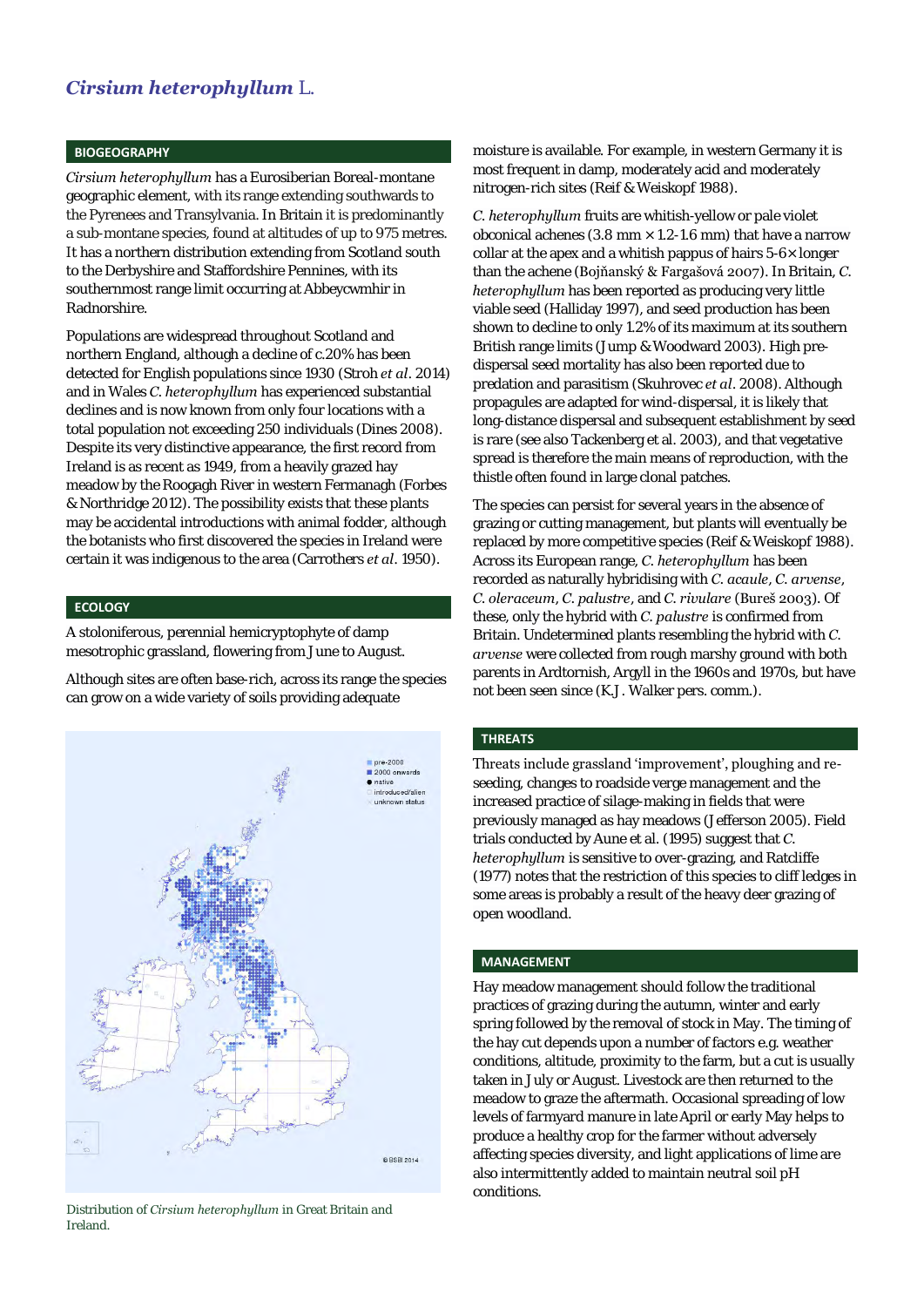# *Cirsium heterophyllum* L.

#### **BIOGEOGRAPHY**

*Cirsium heterophyllum* has a Eurosiberian Boreal-montane geographic element, with its range extending southwards to the Pyrenees and Transylvania. In Britain it is predominantly a sub-montane species, found at altitudes of up to 975 metres. It has a northern distribution extending from Scotland south to the Derbyshire and Staffordshire Pennines, with its southernmost range limit occurring at Abbeycwmhir in Radnorshire.

Populations are widespread throughout Scotland and northern England, although a decline of c.20% has been detected for English populations since 1930 (Stroh *et al*. 2014) and in Wales *C. heterophyllum* has experienced substantial declines and is now known from only four locations with a total population not exceeding 250 individuals (Dines 2008). Despite its very distinctive appearance, the first record from Ireland is as recent as 1949, from a heavily grazed hay meadow by the Roogagh River in western Fermanagh (Forbes & Northridge 2012). The possibility exists that these plants may be accidental introductions with animal fodder, although the botanists who first discovered the species in Ireland were certain it was indigenous to the area (Carrothers *et al*. 1950).

#### **ECOLOGY**

A stoloniferous, perennial hemicryptophyte of damp mesotrophic grassland, flowering from June to August.

Although sites are often base-rich, across its range the species can grow on a wide variety of soils providing adequate



Distribution of *Cirsium heterophyllum* in Great Britain and Ireland.

moisture is available. For example, in western Germany it is most frequent in damp, moderately acid and moderately nitrogen-rich sites (Reif & Weiskopf 1988).

*C. heterophyllum* fruits are whitish-yellow or pale violet obconical achenes (3.8 mm  $\times$  1.2-1.6 mm) that have a narrow collar at the apex and a whitish pappus of hairs 5-6× longer than the achene (Bojňanský & Fargašová 2007). In Britain, *C. heterophyllum* has been reported as producing very little viable seed (Halliday 1997), and seed production has been shown to decline to only 1.2% of its maximum at its southern British range limits (Jump & Woodward 2003). High predispersal seed mortality has also been reported due to predation and parasitism (Skuhrovec *et al*. 2008). Although propagules are adapted for wind-dispersal, it is likely that long-distance dispersal and subsequent establishment by seed is rare (see also Tackenberg et al. 2003), and that vegetative spread is therefore the main means of reproduction, with the thistle often found in large clonal patches.

The species can persist for several years in the absence of grazing or cutting management, but plants will eventually be replaced by more competitive species (Reif & Weiskopf 1988). Across its European range, *C. heterophyllum* has been recorded as naturally hybridising with *C. acaule*, *C. arvense*, *C. oleraceum*, *C. palustre*, and *C. rivulare* (Bureš 2003). Of these, only the hybrid with *C. palustre* is confirmed from Britain. Undetermined plants resembling the hybrid with *C. arvense* were collected from rough marshy ground with both parents in Ardtornish, Argyll in the 1960s and 1970s, but have not been seen since (K.J. Walker pers. comm.).

### **THREATS**

Threats include grassland 'improvement', ploughing and reseeding, changes to roadside verge management and the increased practice of silage-making in fields that were previously managed as hay meadows (Jefferson 2005). Field trials conducted by Aune et al. (1995) suggest that *C. heterophyllum* is sensitive to over-grazing, and Ratcliffe (1977) notes that the restriction of this species to cliff ledges in some areas is probably a result of the heavy deer grazing of open woodland.

#### **MANAGEMENT**

Hay meadow management should follow the traditional practices of grazing during the autumn, winter and early spring followed by the removal of stock in May. The timing of the hay cut depends upon a number of factors e.g. weather conditions, altitude, proximity to the farm, but a cut is usually taken in July or August. Livestock are then returned to the meadow to graze the aftermath. Occasional spreading of low levels of farmyard manure in late April or early May helps to produce a healthy crop for the farmer without adversely affecting species diversity, and light applications of lime are also intermittently added to maintain neutral soil pH conditions.